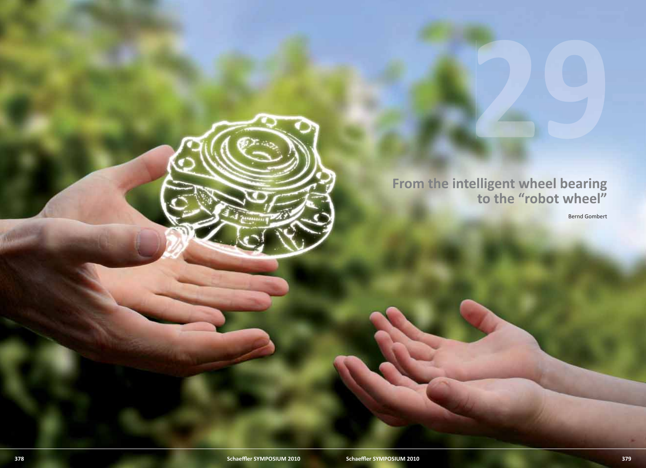

# **From the intelligent wheel bearing to the "robot wheel"**

Bernd Gombert

29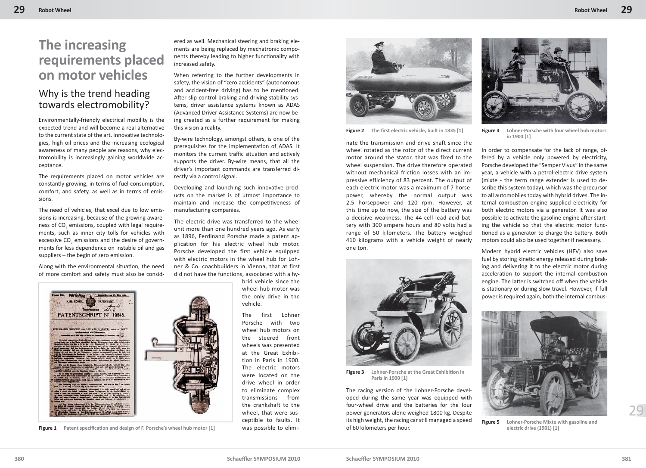## **The increasing requirements placed on motor vehicles**

#### Why is the trend heading towards electromobility?

Environmentally-friendly electrical mobility is the expected trend and will become a real alternative to the current state of the art. Innovative technologies, high oil prices and the increasing ecological awareness of many people are reasons, why electromobility is increasingly gaining worldwide acceptance.

The requirements placed on motor vehicles are constantly growing, in terms of fuel consumption, comfort, and safety, as well as in terms of emissions.

The need of vehicles, that excel due to low emissions is increasing, because of the growing awareness of CO<sub>2</sub> emissions, coupled with legal requirements, such as inner city tolls for vehicles with excessive CO<sub>2</sub> emissions and the desire of governments for less dependence on instable oil and gas suppliers – the begin of zero emission.

Along with the environmental situation, the need of more comfort and safety must also be consid-



**Figure 1** Patent specification and design of F. Porsche's wheel hub motor [1]

ered as well. Mechanical steering and braking elements are being replaced by mechatronic components thereby leading to higher functionality with increased safety.

When referring to the further developments in safety, the vision of "zero accidents" (autonomous and accident-free driving) has to be mentioned. After slip control braking and driving stability systems, driver assistance systems known as ADAS (Advanced Driver Assistance Systems) are now being created as a further requirement for making this vision a reality.

By-wire technology, amongst others, is one of the prerequisites for the implementation of ADAS. It monitors the current traffic situation and actively supports the driver. By-wire means, that all the driver's important commands are transferred directly via a control signal.

Developing and launching such innovative products on the market is of utmost importance to maintain and increase the competitiveness of manufacturing companies.

The electric drive was transferred to the wheel unit more than one hundred years ago. As early as 1896, Ferdinand Porsche made a patent application for his electric wheel hub motor. Porsche developed the first vehicle equipped with electric motors in the wheel hub for Lohner & Co. coachbuilders in Vienna, that at first did not have the functions, associated with a hy-

> brid vehicle since the wheel hub motor was the only drive in the vehicle.

The first Lohner Porsche with two wheel hub motors on the steered front wheels was presented at the Great Exhibition in Paris in 1900. The electric motors were located on the drive wheel in order to eliminate complex transmissions from the crankshaft to the wheel, that were susceptible to faults. It was possible to elimi-



**Figure 2** The first electric vehicle, built in 1835 [1]

nate the transmission and drive shaft since the wheel rotated as the rotor of the direct current motor around the stator, that was fixed to the wheel suspension. The drive therefore operated without mechanical friction losses with an impressive efficiency of 83 percent. The output of each electric motor was a maximum of 7 horsepower, whereby the normal output was 2.5 horsepower and 120 rpm. However, at this time up to now, the size of the battery was a decisive weakness. The 44-cell lead acid battery with 300 ampere hours and 80 volts had a range of 50 kilometers. The battery weighed 410 kilograms with a vehicle weight of nearly one ton.



**Figure 3** Lohner-Porsche at the Great Exhibition in **Paris in 1900 [1]**

The racing version of the Lohner-Porsche developed during the same year was equipped with four-wheel drive and the batteries for the four power generators alone weighed 1800 kg. Despite its high weight, the racing car still managed a speed of 60 kilometers per hour.



**Figure 4 Lohner-Porsche with four wheel hub motors in 1900 [1]**

In order to compensate for the lack of range, offered by a vehicle only powered by electricity, Porsche developed the "Semper Vivus" in the same year, a vehicle with a petrol-electric drive system (mixte - the term range extender is used to describe this system today), which was the precursor to all automobiles today with hybrid drives. The internal combustion engine supplied electricity for both electric motors via a generator. It was also possible to activate the gasoline engine after starting the vehicle so that the electric motor functioned as a generator to charge the battery. Both motors could also be used together if necessary.

Modern hybrid electric vehicles (HEV) also save fuel by storing kinetic energy released during braking and delivering it to the electric motor during acceleration to support the internal combustion engine. The latter is switched off when the vehicle is stationary or during slow travel. However, if full power is required again, both the internal combus-



**Figure 5 Lohner-Porsche Mixte with gasoline and electric drive (1901) [1]**

29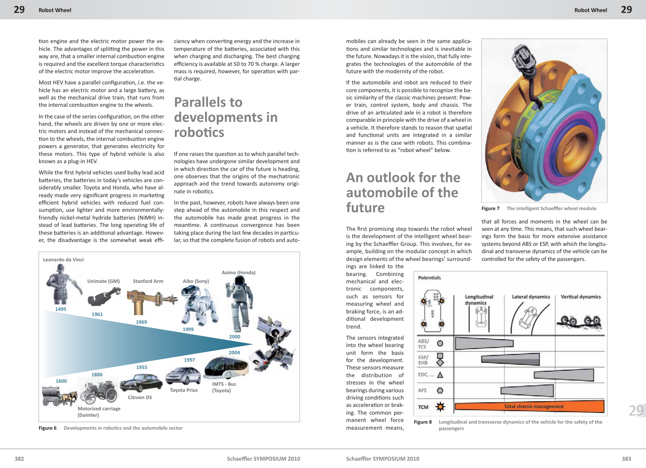tion engine and the electric motor power the vehicle. The advantages of splitting the power in this way are, that a smaller internal combustion engine is required and the excellent torque characteristics of the electric motor improve the acceleration.

Most HEV have a parallel configuration, i.e. the vehicle has an electric motor and a large battery, as well as the mechanical drive train, that runs from the internal combustion engine to the wheels.

In the case of the series configuration, on the other hand, the wheels are driven by one or more electric motors and instead of the mechanical connection to the wheels, the internal combustion engine powers a generator, that generates electricity for these motors. This type of hybrid vehicle is also known as a plug-in HEV.

While the first hybrid vehicles used bulky lead acid batteries, the batteries in today's vehicles are considerably smaller. Toyota and Honda, who have already made very significant progress in marketing efficient hybrid vehicles with reduced fuel consumption, use lighter and more environmentallyfriendly nickel-metal hydride batteries (NiMH) instead of lead batteries. The long operating life of these batteries is an additional advantage. However, the disadvantage is the somewhat weak effi-

ciency when converting energy and the increase in temperature of the batteries, associated with this when charging and discharging. The best charging efficiency is available at 50 to 70 % charge. A larger mass is required, however, for operation with partial charge.

## **Parallels to developments in roboti cs**

If one raises the question as to which parallel technologies have undergone similar development and in which direction the car of the future is heading, one observes that the origins of the mechatronic approach and the trend towards autonomy originate in robotics.

In the past, however, robots have always been one step ahead of the automobile in this respect and the automobile has made great progress in the meantime. A continuous convergence has been taking place during the last few decades in particular, so that the complete fusion of robots and auto-



**Figure 6** Developments in robotics and the automobile sector

mobiles can already be seen in the same applications and similar technologies and is inevitable in the future. Nowadays it is the vision, that fully integrates the technologies of the automobile of the future with the modernity of the robot.

If the automobile and robot are reduced to their core components, it is possible to recognize the basic similarity of the classic machines present: Power train, control system, body and chassis. The drive of an articulated axle in a robot is therefore comparable in principle with the drive of a wheel in a vehicle. It therefore stands to reason that spatial and functional units are integrated in a similar manner as is the case with robots. This combination is referred to as "robot wheel" below.

# **An outlook for the automobile of the future**

The first promising step towards the robot wheel is the development of the intelligent wheel bearing by the Schaeffler Group. This involves, for example, building on the modular concept in which design elements of the wheel bearings' surroundings are linked to the

bearing. Combining mechanical and electronic components, such as sensors for measuring wheel and braking force, is an additional development trend.

The sensors integrated into the wheel bearing unit form the basis for the development. These sensors measure the distribution of stresses in the wheel bearings during various driving conditions such as acceleration or braking. The common permanent wheel force measurement means,



**Figure 7** The intelligent Schaeffler wheel module

that all forces and moments in the wheel can be seen at any time. This means, that such wheel bearings form the basis for more extensive assistance systems beyond ABS or ESP, with which the longitudinal and transverse dynamics of the vehicle can be controlled for the safety of the passengers.



**Figure 8 Longitudinal and transverse dynamics of the vehicle for the safety of the passengers**